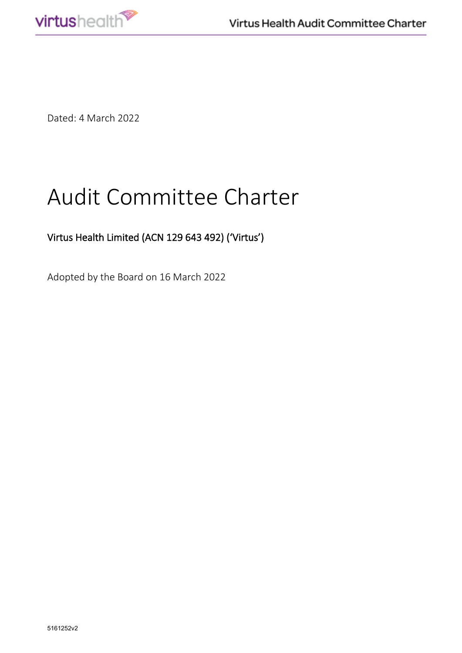

Dated: 4 March 2022

# Audit Committee Charter

# Virtus Health Limited (ACN 129 643 492) ('Virtus')

Adopted by the Board on 16 March 2022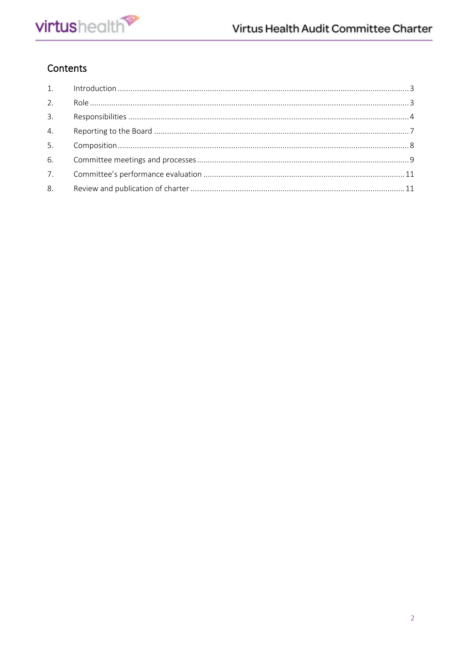# Contents

| 3. |  |
|----|--|
| 4. |  |
| 5. |  |
|    |  |
|    |  |
| 8. |  |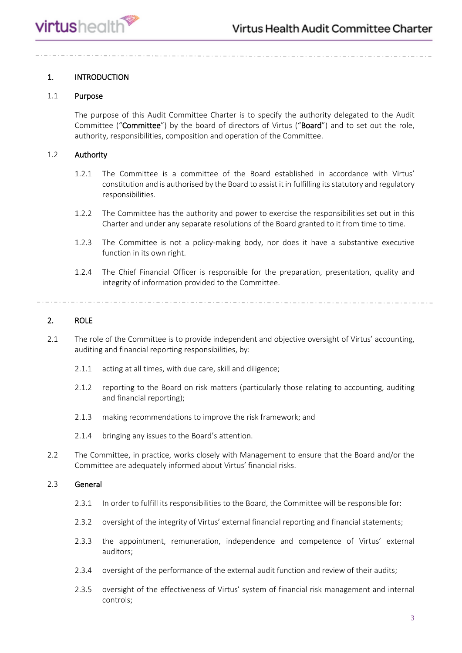# <span id="page-2-0"></span>1. INTRODUCTION

# 1.1 Purpose

The purpose of this Audit Committee Charter is to specify the authority delegated to the Audit Committee ("Committee") by the board of directors of Virtus ("Board") and to set out the role, authority, responsibilities, composition and operation of the Committee.

# 1.2 Authority

- 1.2.1 The Committee is a committee of the Board established in accordance with Virtus' constitution and is authorised by the Board to assist it in fulfilling its statutory and regulatory responsibilities.
- 1.2.2 The Committee has the authority and power to exercise the responsibilities set out in this Charter and under any separate resolutions of the Board granted to it from time to time.
- 1.2.3 The Committee is not a policy-making body, nor does it have a substantive executive function in its own right.
- 1.2.4 The Chief Financial Officer is responsible for the preparation, presentation, quality and integrity of information provided to the Committee.

# <span id="page-2-1"></span>2. ROLE

- 2.1 The role of the Committee is to provide independent and objective oversight of Virtus' accounting, auditing and financial reporting responsibilities, by:
	- 2.1.1 acting at all times, with due care, skill and diligence;
	- 2.1.2 reporting to the Board on risk matters (particularly those relating to accounting, auditing and financial reporting);
	- 2.1.3 making recommendations to improve the risk framework; and
	- 2.1.4 bringing any issues to the Board's attention.
- 2.2 The Committee, in practice, works closely with Management to ensure that the Board and/or the Committee are adequately informed about Virtus' financial risks.

# 2.3 General

- 2.3.1 In order to fulfill its responsibilities to the Board, the Committee will be responsible for:
- 2.3.2 oversight of the integrity of Virtus' external financial reporting and financial statements;
- 2.3.3 the appointment, remuneration, independence and competence of Virtus' external auditors;
- 2.3.4 oversight of the performance of the external audit function and review of their audits;
- 2.3.5 oversight of the effectiveness of Virtus' system of financial risk management and internal controls;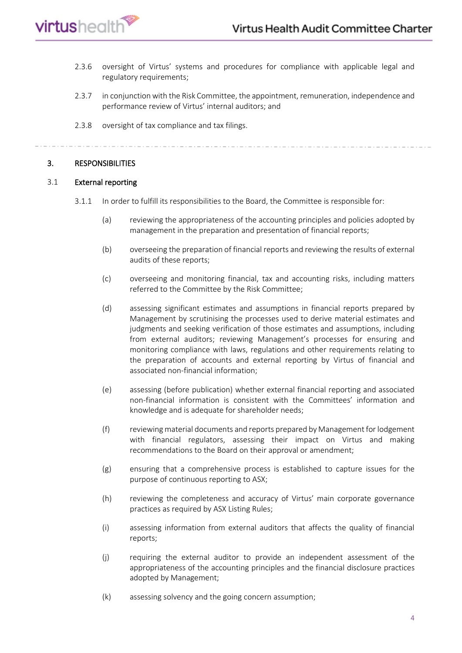

- 2.3.6 oversight of Virtus' systems and procedures for compliance with applicable legal and regulatory requirements;
- 2.3.7 in conjunction with the Risk Committee, the appointment, remuneration, independence and performance review of Virtus' internal auditors; and
- 2.3.8 oversight of tax compliance and tax filings.

# <span id="page-3-0"></span>3. RESPONSIBILITIES

# 3.1 External reporting

- 3.1.1 In order to fulfill its responsibilities to the Board, the Committee is responsible for:
	- (a) reviewing the appropriateness of the accounting principles and policies adopted by management in the preparation and presentation of financial reports;
	- (b) overseeing the preparation of financial reports and reviewing the results of external audits of these reports;
	- (c) overseeing and monitoring financial, tax and accounting risks, including matters referred to the Committee by the Risk Committee;
	- (d) assessing significant estimates and assumptions in financial reports prepared by Management by scrutinising the processes used to derive material estimates and judgments and seeking verification of those estimates and assumptions, including from external auditors; reviewing Management's processes for ensuring and monitoring compliance with laws, regulations and other requirements relating to the preparation of accounts and external reporting by Virtus of financial and associated non-financial information;
	- (e) assessing (before publication) whether external financial reporting and associated non-financial information is consistent with the Committees' information and knowledge and is adequate for shareholder needs;
	- (f) reviewing material documents and reports prepared by Management for lodgement with financial regulators, assessing their impact on Virtus and making recommendations to the Board on their approval or amendment;
	- (g) ensuring that a comprehensive process is established to capture issues for the purpose of continuous reporting to ASX;
	- (h) reviewing the completeness and accuracy of Virtus' main corporate governance practices as required by ASX Listing Rules;
	- (i) assessing information from external auditors that affects the quality of financial reports;
	- (j) requiring the external auditor to provide an independent assessment of the appropriateness of the accounting principles and the financial disclosure practices adopted by Management;
	- (k) assessing solvency and the going concern assumption;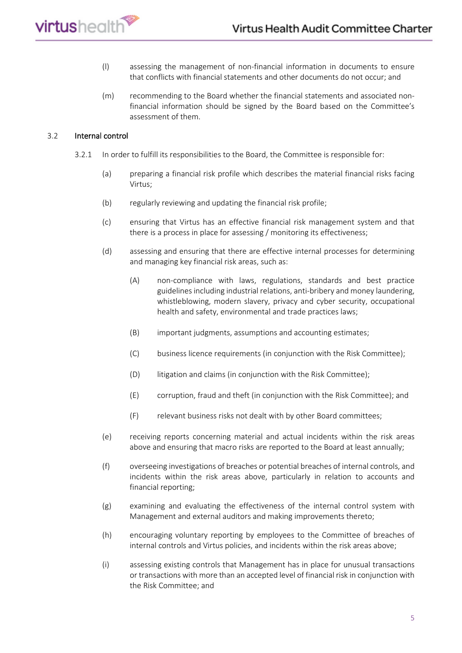

- (l) assessing the management of non-financial information in documents to ensure that conflicts with financial statements and other documents do not occur; and
- (m) recommending to the Board whether the financial statements and associated nonfinancial information should be signed by the Board based on the Committee's assessment of them.

# 3.2 Internal control

- 3.2.1 In order to fulfill its responsibilities to the Board, the Committee is responsible for:
	- (a) preparing a financial risk profile which describes the material financial risks facing Virtus;
	- (b) regularly reviewing and updating the financial risk profile;
	- (c) ensuring that Virtus has an effective financial risk management system and that there is a process in place for assessing / monitoring its effectiveness;
	- (d) assessing and ensuring that there are effective internal processes for determining and managing key financial risk areas, such as:
		- (A) non-compliance with laws, regulations, standards and best practice guidelines including industrial relations, anti-bribery and money laundering, whistleblowing, modern slavery, privacy and cyber security, occupational health and safety, environmental and trade practices laws;
		- (B) important judgments, assumptions and accounting estimates;
		- (C) business licence requirements (in conjunction with the Risk Committee);
		- (D) litigation and claims (in conjunction with the Risk Committee);
		- (E) corruption, fraud and theft (in conjunction with the Risk Committee); and
		- (F) relevant business risks not dealt with by other Board committees;
	- (e) receiving reports concerning material and actual incidents within the risk areas above and ensuring that macro risks are reported to the Board at least annually;
	- (f) overseeing investigations of breaches or potential breaches of internal controls, and incidents within the risk areas above, particularly in relation to accounts and financial reporting;
	- (g) examining and evaluating the effectiveness of the internal control system with Management and external auditors and making improvements thereto;
	- (h) encouraging voluntary reporting by employees to the Committee of breaches of internal controls and Virtus policies, and incidents within the risk areas above;
	- (i) assessing existing controls that Management has in place for unusual transactions or transactions with more than an accepted level of financial risk in conjunction with the Risk Committee; and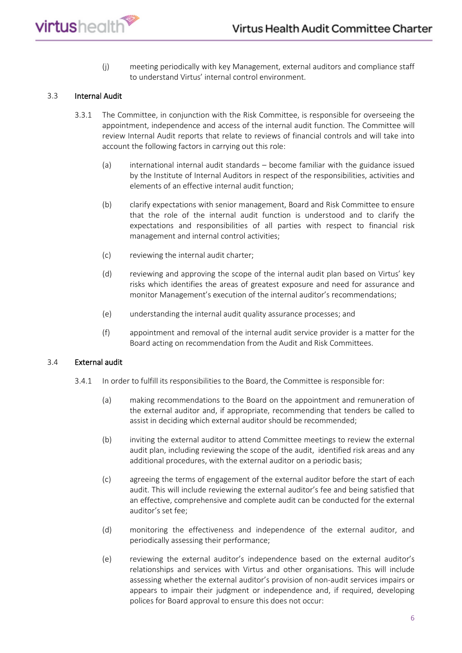

(j) meeting periodically with key Management, external auditors and compliance staff to understand Virtus' internal control environment.

# 3.3 Internal Audit

- 3.3.1 The Committee, in conjunction with the Risk Committee, is responsible for overseeing the appointment, independence and access of the internal audit function. The Committee will review Internal Audit reports that relate to reviews of financial controls and will take into account the following factors in carrying out this role:
	- (a) international internal audit standards become familiar with the guidance issued by the Institute of Internal Auditors in respect of the responsibilities, activities and elements of an effective internal audit function;
	- (b) clarify expectations with senior management, Board and Risk Committee to ensure that the role of the internal audit function is understood and to clarify the expectations and responsibilities of all parties with respect to financial risk management and internal control activities;
	- (c) reviewing the internal audit charter;
	- (d) reviewing and approving the scope of the internal audit plan based on Virtus' key risks which identifies the areas of greatest exposure and need for assurance and monitor Management's execution of the internal auditor's recommendations;
	- (e) understanding the internal audit quality assurance processes; and
	- (f) appointment and removal of the internal audit service provider is a matter for the Board acting on recommendation from the Audit and Risk Committees.

#### 3.4 External audit

- 3.4.1 In order to fulfill its responsibilities to the Board, the Committee is responsible for:
	- (a) making recommendations to the Board on the appointment and remuneration of the external auditor and, if appropriate, recommending that tenders be called to assist in deciding which external auditor should be recommended;
	- (b) inviting the external auditor to attend Committee meetings to review the external audit plan, including reviewing the scope of the audit, identified risk areas and any additional procedures, with the external auditor on a periodic basis;
	- (c) agreeing the terms of engagement of the external auditor before the start of each audit. This will include reviewing the external auditor's fee and being satisfied that an effective, comprehensive and complete audit can be conducted for the external auditor's set fee;
	- (d) monitoring the effectiveness and independence of the external auditor, and periodically assessing their performance;
	- (e) reviewing the external auditor's independence based on the external auditor's relationships and services with Virtus and other organisations. This will include assessing whether the external auditor's provision of non-audit services impairs or appears to impair their judgment or independence and, if required, developing polices for Board approval to ensure this does not occur: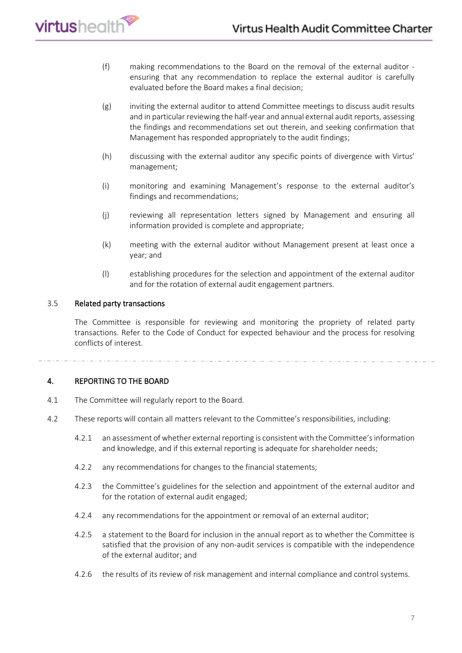- (f) making recommendations to the Board on the removal of the external auditor ensuring that any recommendation to replace the external auditor is carefully evaluated before the Board makes a final decision;
- (g) inviting the external auditor to attend Committee meetings to discuss audit results and in particular reviewing the half-year and annual external audit reports, assessing the findings and recommendations set out therein, and seeking confirmation that Management has responded appropriately to the audit findings;
- (h) discussing with the external auditor any specific points of divergence with Virtus' management;
- (i) monitoring and examining Management's response to the external auditor's findings and recommendations;
- (j) reviewing all representation letters signed by Management and ensuring all information provided is complete and appropriate;
- (k) meeting with the external auditor without Management present at least once a year; and
- (l) establishing procedures for the selection and appointment of the external auditor and for the rotation of external audit engagement partners.

# 3.5 Related party transactions

The Committee is responsible for reviewing and monitoring the propriety of related party transactions. Refer to the Code of Conduct for expected behaviour and the process for resolving conflicts of interest.

# <span id="page-6-0"></span>4. REPORTING TO THE BOARD

- 4.1 The Committee will regularly report to the Board.
- 4.2 These reports will contain all matters relevant to the Committee's responsibilities, including:
	- 4.2.1 an assessment of whether external reporting is consistent with the Committee's information and knowledge, and if this external reporting is adequate for shareholder needs;
	- 4.2.2 any recommendations for changes to the financial statements;
	- 4.2.3 the Committee's guidelines for the selection and appointment of the external auditor and for the rotation of external audit engaged;
	- 4.2.4 any recommendations for the appointment or removal of an external auditor;
	- 4.2.5 a statement to the Board for inclusion in the annual report as to whether the Committee is satisfied that the provision of any non-audit services is compatible with the independence of the external auditor; and
	- 4.2.6 the results of its review of risk management and internal compliance and control systems.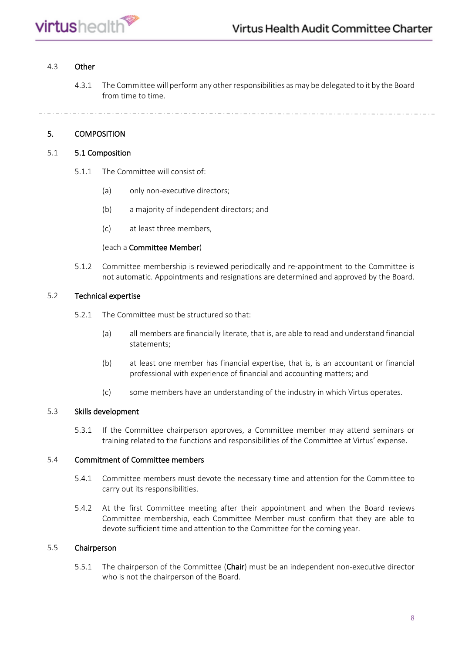

# 4.3 Other

4.3.1 The Committee will perform any other responsibilities as may be delegated to it by the Board from time to time.

# <span id="page-7-0"></span>5. COMPOSITION

# 5.1 5.1 Composition

- 5.1.1 The Committee will consist of:
	- (a) only non-executive directors;
	- (b) a majority of independent directors; and
	- (c) at least three members,

# (each a Committee Member)

5.1.2 Committee membership is reviewed periodically and re-appointment to the Committee is not automatic. Appointments and resignations are determined and approved by the Board.

# 5.2 Technical expertise

- 5.2.1 The Committee must be structured so that:
	- (a) all members are financially literate, that is, are able to read and understand financial statements;
	- (b) at least one member has financial expertise, that is, is an accountant or financial professional with experience of financial and accounting matters; and
	- (c) some members have an understanding of the industry in which Virtus operates.

# 5.3 Skills development

5.3.1 If the Committee chairperson approves, a Committee member may attend seminars or training related to the functions and responsibilities of the Committee at Virtus' expense.

# 5.4 Commitment of Committee members

- 5.4.1 Committee members must devote the necessary time and attention for the Committee to carry out its responsibilities.
- 5.4.2 At the first Committee meeting after their appointment and when the Board reviews Committee membership, each Committee Member must confirm that they are able to devote sufficient time and attention to the Committee for the coming year.

# 5.5 Chairperson

5.5.1 The chairperson of the Committee (Chair) must be an independent non-executive director who is not the chairperson of the Board.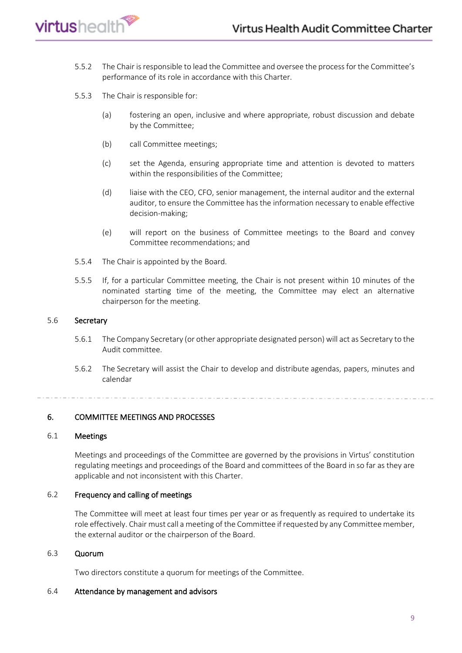

- 5.5.2 The Chair is responsible to lead the Committee and oversee the process for the Committee's performance of its role in accordance with this Charter.
- 5.5.3 The Chair is responsible for:
	- (a) fostering an open, inclusive and where appropriate, robust discussion and debate by the Committee;
	- (b) call Committee meetings;
	- (c) set the Agenda, ensuring appropriate time and attention is devoted to matters within the responsibilities of the Committee;
	- (d) liaise with the CEO, CFO, senior management, the internal auditor and the external auditor, to ensure the Committee has the information necessary to enable effective decision-making;
	- (e) will report on the business of Committee meetings to the Board and convey Committee recommendations; and
- 5.5.4 The Chair is appointed by the Board.
- 5.5.5 If, for a particular Committee meeting, the Chair is not present within 10 minutes of the nominated starting time of the meeting, the Committee may elect an alternative chairperson for the meeting.

#### 5.6 Secretary

- 5.6.1 The Company Secretary (or other appropriate designated person) will act as Secretary to the Audit committee.
- 5.6.2 The Secretary will assist the Chair to develop and distribute agendas, papers, minutes and calendar

# <span id="page-8-0"></span>6. COMMITTEE MEETINGS AND PROCESSES

# 6.1 Meetings

Meetings and proceedings of the Committee are governed by the provisions in Virtus' constitution regulating meetings and proceedings of the Board and committees of the Board in so far as they are applicable and not inconsistent with this Charter.

# 6.2 Frequency and calling of meetings

The Committee will meet at least four times per year or as frequently as required to undertake its role effectively. Chair must call a meeting of the Committee if requested by any Committee member, the external auditor or the chairperson of the Board.

#### 6.3 Quorum

Two directors constitute a quorum for meetings of the Committee.

#### 6.4 Attendance by management and advisors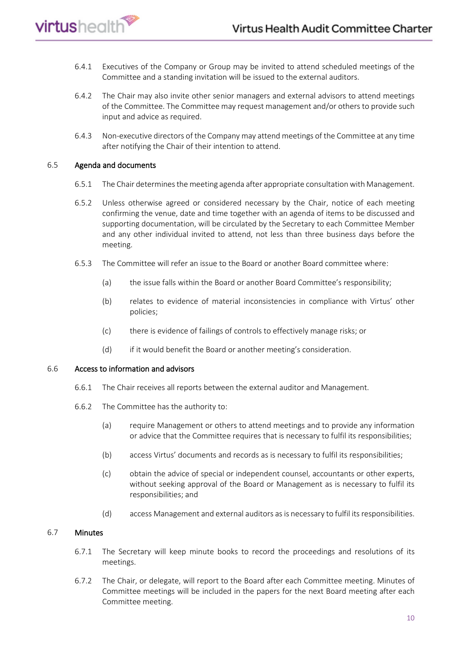- 6.4.1 Executives of the Company or Group may be invited to attend scheduled meetings of the Committee and a standing invitation will be issued to the external auditors.
- 6.4.2 The Chair may also invite other senior managers and external advisors to attend meetings of the Committee. The Committee may request management and/or others to provide such input and advice as required.
- 6.4.3 Non-executive directors of the Company may attend meetings of the Committee at any time after notifying the Chair of their intention to attend.

# 6.5 Agenda and documents

virtushealth<sup>®</sup>

- 6.5.1 The Chair determines the meeting agenda after appropriate consultation with Management.
- 6.5.2 Unless otherwise agreed or considered necessary by the Chair, notice of each meeting confirming the venue, date and time together with an agenda of items to be discussed and supporting documentation, will be circulated by the Secretary to each Committee Member and any other individual invited to attend, not less than three business days before the meeting.
- 6.5.3 The Committee will refer an issue to the Board or another Board committee where:
	- (a) the issue falls within the Board or another Board Committee's responsibility;
	- (b) relates to evidence of material inconsistencies in compliance with Virtus' other policies;
	- (c) there is evidence of failings of controls to effectively manage risks; or
	- (d) if it would benefit the Board or another meeting's consideration.

# 6.6 Access to information and advisors

- 6.6.1 The Chair receives all reports between the external auditor and Management.
- 6.6.2 The Committee has the authority to:
	- (a) require Management or others to attend meetings and to provide any information or advice that the Committee requires that is necessary to fulfil its responsibilities;
	- (b) access Virtus' documents and records as is necessary to fulfil its responsibilities;
	- (c) obtain the advice of special or independent counsel, accountants or other experts, without seeking approval of the Board or Management as is necessary to fulfil its responsibilities; and
	- (d) access Management and external auditors as is necessary to fulfil its responsibilities.

# 6.7 Minutes

- 6.7.1 The Secretary will keep minute books to record the proceedings and resolutions of its meetings.
- 6.7.2 The Chair, or delegate, will report to the Board after each Committee meeting. Minutes of Committee meetings will be included in the papers for the next Board meeting after each Committee meeting.